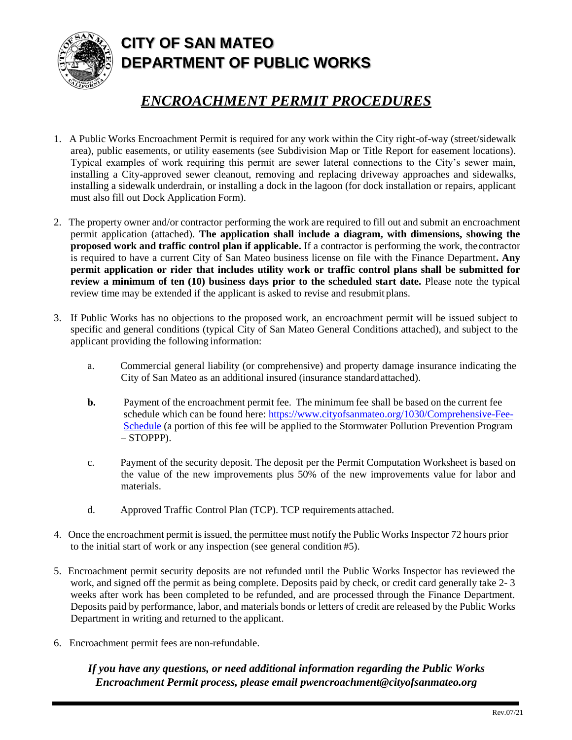

## **CITY OF SAN MATEO DEPARTMENT OF PUBLIC WORKS**

## *ENCROACHMENT PERMIT PROCEDURES*

- 1. A Public Works Encroachment Permit is required for any work within the City right-of-way (street/sidewalk area), public easements, or utility easements (see Subdivision Map or Title Report for easement locations). Typical examples of work requiring this permit are sewer lateral connections to the City's sewer main, installing a City-approved sewer cleanout, removing and replacing driveway approaches and sidewalks, installing a sidewalk underdrain, or installing a dock in the lagoon (for dock installation or repairs, applicant must also fill out Dock Application Form).
- 2. The property owner and/or contractor performing the work are required to fill out and submit an encroachment permit application (attached). **The application shall include a diagram, with dimensions, showing the proposed work and traffic control plan if applicable.** If a contractor is performing the work, thecontractor is required to have a current City of San Mateo business license on file with the Finance Department**. Any permit application or rider that includes utility work or traffic control plans shall be submitted for review a minimum of ten (10) business days prior to the scheduled start date.** Please note the typical review time may be extended if the applicant is asked to revise and resubmit plans.
- 3. If Public Works has no objections to the proposed work, an encroachment permit will be issued subject to specific and general conditions (typical City of San Mateo General Conditions attached), and subject to the applicant providing the following information:
	- a. Commercial general liability (or comprehensive) and property damage insurance indicating the City of San Mateo as an additional insured (insurance standardattached).
	- **b.** Payment of the encroachment permit fee. The minimum fee shall be based on the current fee schedule which can be found here: [https://www.cityofsanmateo.org/1030/Comprehensive-Fee-](https://www.cityofsanmateo.org/1030/Comprehensive-Fee-Schedule)[Schedule](https://www.cityofsanmateo.org/1030/Comprehensive-Fee-Schedule) (a portion of this fee will be applied to the Stormwater Pollution Prevention Program – STOPPP).
	- c. Payment of the security deposit. The deposit per the Permit Computation Worksheet is based on the value of the new improvements plus 50% of the new improvements value for labor and materials.
	- d. Approved Traffic Control Plan (TCP). TCP requirements attached.
- 4. Once the encroachment permit is issued, the permittee must notify the Public Works Inspector 72 hours prior to the initial start of work or any inspection (see general condition #5).
- 5. Encroachment permit security deposits are not refunded until the Public Works Inspector has reviewed the work, and signed off the permit as being complete. Deposits paid by check, or credit card generally take 2- 3 weeks after work has been completed to be refunded, and are processed through the Finance Department. Deposits paid by performance, labor, and materials bonds or letters of credit are released by the Public Works Department in writing and returned to the applicant.
- 6. Encroachment permit fees are non-refundable.

*If you have any questions, or need additional information regarding the Public Works Encroachment Permit process, please email [pwencroachment@cityofsanmateo.org](mailto:pwencroachment@cityofsanmateo.org)*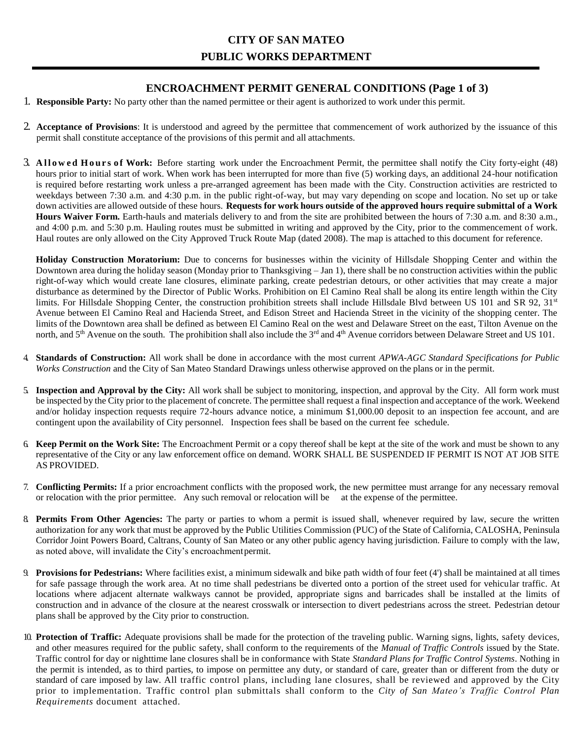#### **ENCROACHMENT PERMIT GENERAL CONDITIONS (Page 1 of 3)**

- 1. **Responsible Party:** No party other than the named permittee or their agent is authorized to work under this permit.
- 2. **Acceptance of Provisions**: It is understood and agreed by the permittee that commencement of work authorized by the issuance of this permit shall constitute acceptance of the provisions of this permit and all attachments.
- 3. Allowed Hours of Work: Before starting work under the Encroachment Permit, the permittee shall notify the City forty-eight (48) hours prior to initial start of work. When work has been interrupted for more than five (5) working days, an additional 24-hour notification is required before restarting work unless a pre-arranged agreement has been made with the City. Construction activities are restricted to weekdays between 7:30 a.m. and 4:30 p.m. in the public right-of-way, but may vary depending on scope and location. No set up or take down activities are allowed outside of these hours. **Requests for work hours outside of the approved hours require submittal of a Work Hours Waiver Form.** Earth-hauls and materials delivery to and from the site are prohibited between the hours of 7:30 a.m. and 8:30 a.m., and 4:00 p.m. and 5:30 p.m. Hauling routes must be submitted in writing and approved by the City, prior to the commencement of work. Haul routes are only allowed on the City Approved Truck Route Map (dated 2008). The map is attached to this document for reference.

**Holiday Construction Moratorium:** Due to concerns for businesses within the vicinity of Hillsdale Shopping Center and within the Downtown area during the holiday season (Monday prior to Thanksgiving – Jan 1), there shall be no construction activities within the public right-of-way which would create lane closures, eliminate parking, create pedestrian detours, or other activities that may create a major disturbance as determined by the Director of Public Works. Prohibition on El Camino Real shall be along its entire length within the City limits. For Hillsdale Shopping Center, the construction prohibition streets shall include Hillsdale Blvd between US 101 and SR 92, 31<sup>st</sup> Avenue between El Camino Real and Hacienda Street, and Edison Street and Hacienda Street in the vicinity of the shopping center. The limits of the Downtown area shall be defined as between El Camino Real on the west and Delaware Street on the east, Tilton Avenue on the north, and  $5<sup>th</sup>$  Avenue on the south. The prohibition shall also include the  $3<sup>rd</sup>$  and  $4<sup>th</sup>$  Avenue corridors between Delaware Street and US 101.

- 4. **Standards of Construction:** All work shall be done in accordance with the most current *APWA-AGC Standard Specifications for Public Works Construction* and the City of San Mateo Standard Drawings unless otherwise approved on the plans or in the permit.
- 5. **Inspection and Approval by the City:** All work shall be subject to monitoring, inspection, and approval by the City. All form work must be inspected by the City prior to the placement of concrete. The permittee shall request a final inspection and acceptance of the work. Weekend and/or holiday inspection requests require 72-hours advance notice, a minimum \$1,000.00 deposit to an inspection fee account, and are contingent upon the availability of City personnel. Inspection fees shall be based on the current fee schedule.
- 6. **Keep Permit on the Work Site:** The Encroachment Permit or a copy thereof shall be kept at the site of the work and must be shown to any representative of the City or any law enforcement office on demand. WORK SHALL BE SUSPENDED IF PERMIT IS NOT AT JOB SITE AS PROVIDED.
- 7. **Conflicting Permits:** If a prior encroachment conflicts with the proposed work, the new permittee must arrange for any necessary removal or relocation with the prior permittee. Any such removal or relocation will be at the expense of the permittee.
- 8. **Permits From Other Agencies:** The party or parties to whom a permit is issued shall, whenever required by law, secure the written authorization for any work that must be approved by the Public Utilities Commission (PUC) of the State of California, CALOSHA, Peninsula Corridor Joint Powers Board, Caltrans, County of San Mateo or any other public agency having jurisdiction. Failure to comply with the law, as noted above, will invalidate the City's encroachmentpermit.
- 9. **Provisions for Pedestrians:** Where facilities exist, a minimum sidewalk and bike path width of four feet (4') shall be maintained at all times for safe passage through the work area. At no time shall pedestrians be diverted onto a portion of the street used for vehicular traffic. At locations where adjacent alternate walkways cannot be provided, appropriate signs and barricades shall be installed at the limits of construction and in advance of the closure at the nearest crosswalk or intersection to divert pedestrians across the street. Pedestrian detour plans shall be approved by the City prior to construction.
- 10. **Protection of Traffic:** Adequate provisions shall be made for the protection of the traveling public. Warning signs, lights, safety devices, and other measures required for the public safety, shall conform to the requirements of the *Manual of Traffic Controls* issued by the State. Traffic control for day or nighttime lane closures shall be in conformance with State *Standard Plans for Traffic Control Systems*. Nothing in the permit is intended, as to third parties, to impose on permittee any duty, or standard of care, greater than or different from the duty or standard of care imposed by law. All traffic control plans, including lane closures, shall be reviewed and approved by the City prior to implementation. Traffic control plan submittals shall conform to the *City of San Mateo's Traffic Control Plan Requirements* document attached.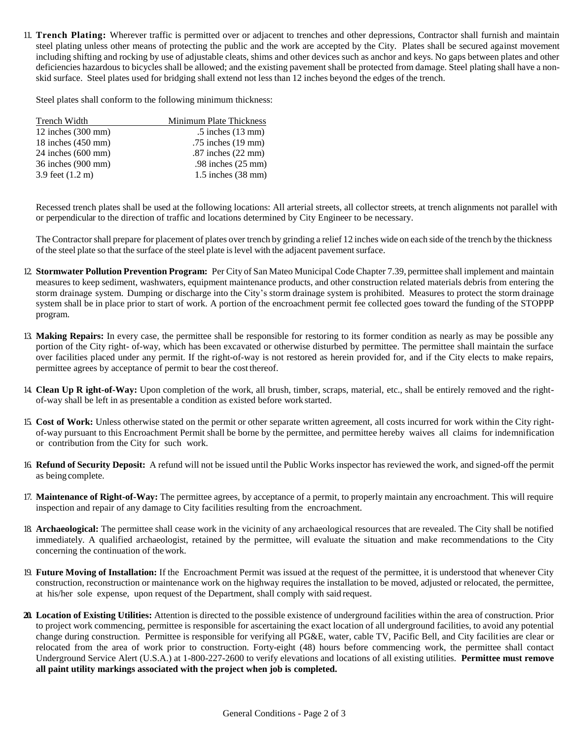11. **Trench Plating:** Wherever traffic is permitted over or adjacent to trenches and other depressions, Contractor shall furnish and maintain steel plating unless other means of protecting the public and the work are accepted by the City. Plates shall be secured against movement including shifting and rocking by use of adjustable cleats, shims and other devices such as anchor and keys. No gaps between plates and other deficiencies hazardous to bicycles shall be allowed; and the existing pavement shall be protected from damage. Steel plating shall have a nonskid surface. Steel plates used for bridging shall extend not less than 12 inches beyond the edges of the trench.

Steel plates shall conform to the following minimum thickness:

| Trench Width                 | Minimum Plate Thickness        |
|------------------------------|--------------------------------|
| 12 inches $(300 \text{ mm})$ | $.5$ inches $(13$ mm)          |
| 18 inches $(450 \text{ mm})$ | .75 inches (19 mm)             |
| $24$ inches $(600$ mm)       | $.87$ inches $(22$ mm)         |
| 36 inches (900 mm)           | .98 inches $(25 \text{ mm})$   |
| 3.9 feet (1.2 m)             | $1.5$ inches $(38 \text{ mm})$ |

Recessed trench plates shall be used at the following locations: All arterial streets, all collector streets, at trench alignments not parallel with or perpendicular to the direction of traffic and locations determined by City Engineer to be necessary.

The Contractorshall prepare for placement of plates over trench by grinding a relief 12 inches wide on each side of the trench by the thickness of the steel plate so that the surface of the steel plate islevel with the adjacent pavementsurface.

- 12. **Stormwater Pollution Prevention Program:** Per City of San Mateo Municipal Code Chapter 7.39, permittee shall implement and maintain measures to keep sediment, washwaters, equipment maintenance products, and other construction related materials debris from entering the storm drainage system. Dumping or discharge into the City's storm drainage system is prohibited. Measures to protect the storm drainage system shall be in place prior to start of work. A portion of the encroachment permit fee collected goes toward the funding of the STOPPP program.
- 13. **Making Repairs:** In every case, the permittee shall be responsible for restoring to its former condition as nearly as may be possible any portion of the City right- of-way, which has been excavated or otherwise disturbed by permittee. The permittee shall maintain the surface over facilities placed under any permit. If the right-of-way is not restored as herein provided for, and if the City elects to make repairs, permittee agrees by acceptance of permit to bear the cost thereof.
- 14. **Clean Up R ight-of-Way:** Upon completion of the work, all brush, timber, scraps, material, etc., shall be entirely removed and the rightof-way shall be left in as presentable a condition as existed before work started.
- 15. **Cost of Work:** Unless otherwise stated on the permit or other separate written agreement, all costs incurred for work within the City rightof-way pursuant to this Encroachment Permit shall be borne by the permittee, and permittee hereby waives all claims for indemnification or contribution from the City for such work.
- 16. **Refund of Security Deposit:** A refund will not be issued until the Public Works inspector has reviewed the work, and signed-off the permit as being complete.
- 17. **Maintenance of Right-of-Way:** The permittee agrees, by acceptance of a permit, to properly maintain any encroachment. This will require inspection and repair of any damage to City facilities resulting from the encroachment.
- 18. **Archaeological:** The permittee shall cease work in the vicinity of any archaeological resources that are revealed. The City shall be notified immediately. A qualified archaeologist, retained by the permittee, will evaluate the situation and make recommendations to the City concerning the continuation of thework.
- 19. **Future Moving of Installation:** If the Encroachment Permit was issued at the request of the permittee, it is understood that whenever City construction, reconstruction or maintenance work on the highway requires the installation to be moved, adjusted or relocated, the permittee, at his/her sole expense, upon request of the Department, shall comply with said request.
- **20. Location of Existing Utilities:** Attention is directed to the possible existence of underground facilities within the area of construction. Prior to project work commencing, permittee is responsible for ascertaining the exact location of all underground facilities, to avoid any potential change during construction. Permittee is responsible for verifying all PG&E, water, cable TV, Pacific Bell, and City facilities are clear or relocated from the area of work prior to construction. Forty-eight (48) hours before commencing work, the permittee shall contact Underground Service Alert (U.S.A.) at 1-800-227-2600 to verify elevations and locations of all existing utilities. **Permittee must remove all paint utility markings associated with the project when job is completed.**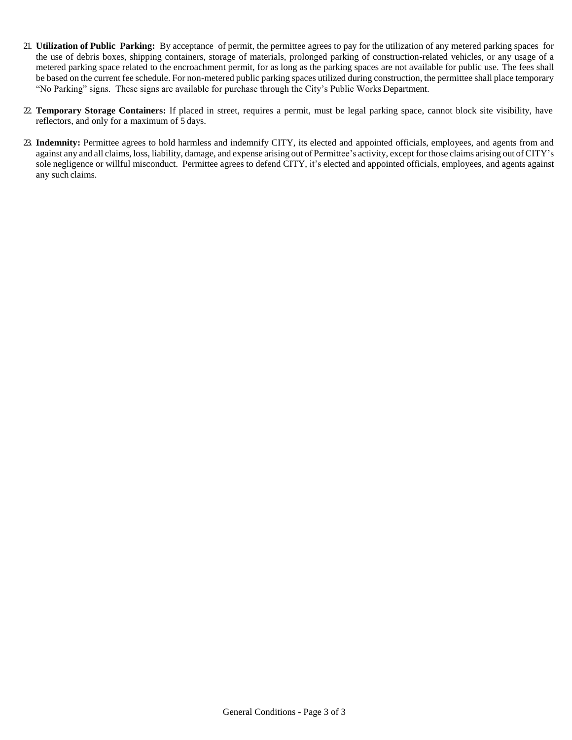- 21. **Utilization of Public Parking:** By acceptance of permit, the permittee agrees to pay for the utilization of any metered parking spaces for the use of debris boxes, shipping containers, storage of materials, prolonged parking of construction-related vehicles, or any usage of a metered parking space related to the encroachment permit, for as long as the parking spaces are not available for public use. The fees shall be based on the current fee schedule. For non-metered public parking spaces utilized during construction, the permittee shall place temporary "No Parking" signs. These signs are available for purchase through the City's Public Works Department.
- 22. **Temporary Storage Containers:** If placed in street, requires a permit, must be legal parking space, cannot block site visibility, have reflectors, and only for a maximum of 5 days.
- 23. **Indemnity:** Permittee agrees to hold harmless and indemnify CITY, its elected and appointed officials, employees, and agents from and against any and all claims, loss, liability, damage, and expense arising out of Permittee's activity, except for those claims arising out of CITY's sole negligence or willful misconduct. Permittee agrees to defend CITY, it's elected and appointed officials, employees, and agents against any such claims.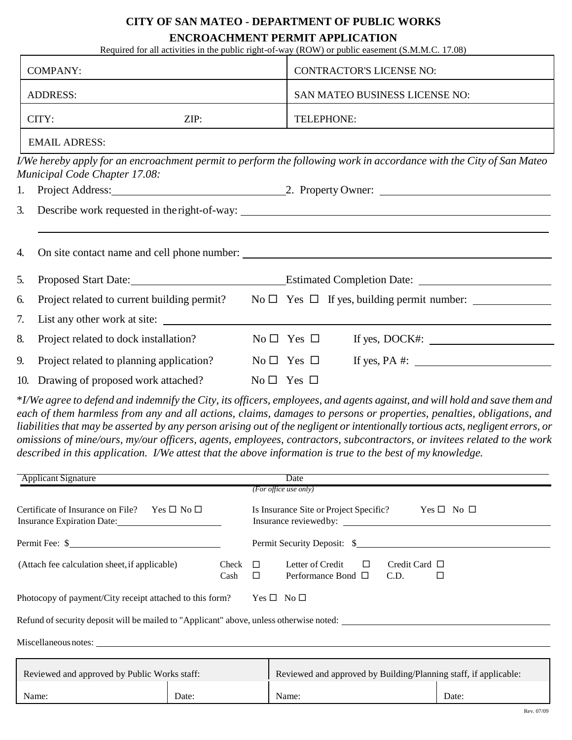# **CITY OF SAN MATEO - DEPARTMENT OF PUBLIC WORKS**

### **ENCROACHMENT PERMIT APPLICATION**

|          | Required for all activities in the public right-of-way (ROW) or public easement (S.M.M.C. 17.08) |  |                                                                                   |                                                                                                                     |  |  |  |
|----------|--------------------------------------------------------------------------------------------------|--|-----------------------------------------------------------------------------------|---------------------------------------------------------------------------------------------------------------------|--|--|--|
|          | <b>COMPANY:</b>                                                                                  |  |                                                                                   | <b>CONTRACTOR'S LICENSE NO:</b>                                                                                     |  |  |  |
|          | <b>ADDRESS:</b>                                                                                  |  |                                                                                   | SAN MATEO BUSINESS LICENSE NO:                                                                                      |  |  |  |
|          | CITY:<br>ZIP:                                                                                    |  |                                                                                   | TELEPHONE:                                                                                                          |  |  |  |
|          | <b>EMAIL ADRESS:</b>                                                                             |  |                                                                                   |                                                                                                                     |  |  |  |
|          | <b>Municipal Code Chapter 17.08:</b>                                                             |  |                                                                                   | I/We hereby apply for an encroachment permit to perform the following work in accordance with the City of San Mateo |  |  |  |
| 1.       |                                                                                                  |  |                                                                                   | Project Address: 2. Property Owner: 2. Property Owner:                                                              |  |  |  |
| 3.<br>4. |                                                                                                  |  |                                                                                   |                                                                                                                     |  |  |  |
|          |                                                                                                  |  |                                                                                   |                                                                                                                     |  |  |  |
| 5.       |                                                                                                  |  | Proposed Start Date: Estimated Completion Date: _________________________________ |                                                                                                                     |  |  |  |
| 6.       |                                                                                                  |  |                                                                                   | Project related to current building permit? No $\square$ Yes $\square$ If yes, building permit number:              |  |  |  |
| 7.       |                                                                                                  |  |                                                                                   |                                                                                                                     |  |  |  |
| 8.       | Project related to dock installation?                                                            |  | $No \Box Yes \Box$                                                                | If yes, $DOCK$ #: $\_\_\_\_\_\_\_\_\_\_\_\_\_\_\_\_\_\_\_\_\_\_\_\_\_\_\_\_\_\_\_\_\_\_\_$                          |  |  |  |
| 9.       | Project related to planning application?                                                         |  | $\mathrm{No} \ \Box \ \ \mathrm{Yes} \ \Box$                                      | If yes, PA $\#$ :                                                                                                   |  |  |  |
|          | 10. Drawing of proposed work attached?                                                           |  | $No \Box Yes \Box$                                                                |                                                                                                                     |  |  |  |

\*I/We agree to defend and indemnify the City, its officers, employees, and agents against, and will hold and save them and *each of them harmless from any and all actions, claims, damages to persons or properties, penalties, obligations, and*  liabilities that may be asserted by any person arising out of the negligent or intentionally tortious acts, negligent errors, or *omissions of mine/ours, my/our officers, agents, employees, contractors, subcontractors, or invitees related to the work described in this application. I/We attest that the above information is true to the best of my knowledge.*

| <b>Applicant Signature</b>                                                                 |               | Date                                                                                                         |  |  |  |  |  |  |
|--------------------------------------------------------------------------------------------|---------------|--------------------------------------------------------------------------------------------------------------|--|--|--|--|--|--|
|                                                                                            |               | (For office use only)                                                                                        |  |  |  |  |  |  |
| Certificate of Insurance on File? Yes $\square$ No $\square$<br>Insurance Expiration Date: |               | Is Insurance Site or Project Specific? Yes $\square$ No $\square$<br>Insurance reviewed by:                  |  |  |  |  |  |  |
|                                                                                            |               | Permit Security Deposit: \$                                                                                  |  |  |  |  |  |  |
| (Attach fee calculation sheet, if applicable)                                              | Check<br>Cash | Letter of Credit<br>Credit Card $\Box$<br>$\Box$<br>$\Box$<br>Performance Bond $\Box$<br>C.D.<br>$\Box$<br>Ц |  |  |  |  |  |  |
| Photocopy of payment/City receipt attached to this form?                                   |               | $Yes \Box No \Box$                                                                                           |  |  |  |  |  |  |
| Refund of security deposit will be mailed to "Applicant" above, unless otherwise noted:    |               |                                                                                                              |  |  |  |  |  |  |
|                                                                                            |               |                                                                                                              |  |  |  |  |  |  |
| Reviewed and approved by Public Works staff:                                               |               | Reviewed and approved by Building/Planning staff, if applicable:                                             |  |  |  |  |  |  |
| Name:                                                                                      | Date:         | Name:<br>Date:                                                                                               |  |  |  |  |  |  |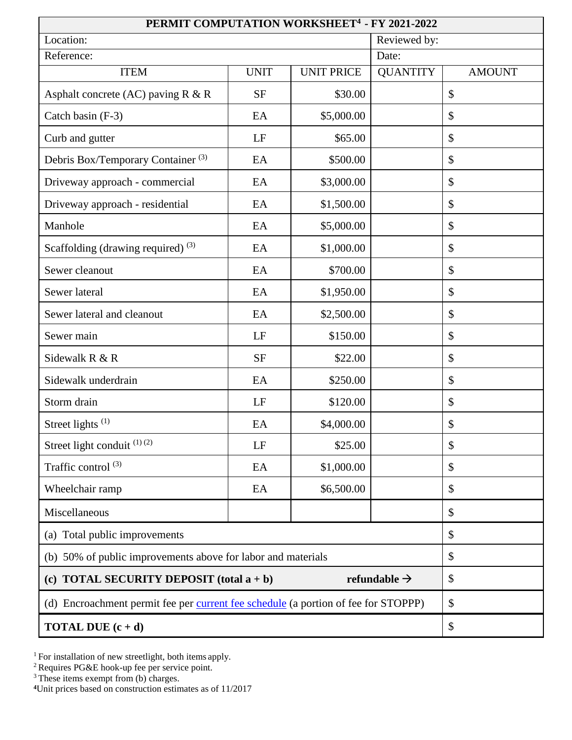| PERMIT COMPUTATION WORKSHEET <sup>4</sup> - FY 2021-2022                           |              |                   |                 |               |  |  |  |  |
|------------------------------------------------------------------------------------|--------------|-------------------|-----------------|---------------|--|--|--|--|
| Location:                                                                          | Reviewed by: |                   |                 |               |  |  |  |  |
| Reference:                                                                         | Date:        |                   |                 |               |  |  |  |  |
| <b>ITEM</b>                                                                        | <b>UNIT</b>  | <b>UNIT PRICE</b> | <b>QUANTITY</b> | <b>AMOUNT</b> |  |  |  |  |
| Asphalt concrete (AC) paving $R & R$                                               | <b>SF</b>    | \$30.00           |                 | \$            |  |  |  |  |
| Catch basin (F-3)                                                                  | EA           | \$5,000.00        |                 | \$            |  |  |  |  |
| Curb and gutter                                                                    | LF           | \$65.00           |                 | \$            |  |  |  |  |
| Debris Box/Temporary Container <sup>(3)</sup>                                      | EA           | \$500.00          |                 | \$            |  |  |  |  |
| Driveway approach - commercial                                                     | EA           | \$3,000.00        |                 | \$            |  |  |  |  |
| Driveway approach - residential                                                    | EA           | \$1,500.00        |                 | \$            |  |  |  |  |
| Manhole                                                                            | EA           | \$5,000.00        |                 | \$            |  |  |  |  |
| Scaffolding (drawing required) <sup>(3)</sup>                                      | EA           | \$1,000.00        |                 | \$            |  |  |  |  |
| Sewer cleanout                                                                     | EA           | \$700.00          |                 | \$            |  |  |  |  |
| Sewer lateral                                                                      | EA           | \$1,950.00        |                 | \$            |  |  |  |  |
| Sewer lateral and cleanout                                                         | EA           | \$2,500.00        |                 | \$            |  |  |  |  |
| Sewer main                                                                         | LF           | \$150.00          |                 | \$            |  |  |  |  |
| Sidewalk R & R                                                                     | <b>SF</b>    | \$22.00           |                 | \$            |  |  |  |  |
| Sidewalk underdrain                                                                | EA           | \$250.00          |                 | \$            |  |  |  |  |
| Storm drain                                                                        | LF           | \$120.00          |                 | \$            |  |  |  |  |
| Street lights $(1)$                                                                | EA           | \$4,000.00        |                 | \$            |  |  |  |  |
| Street light conduit <sup>(1)(2)</sup>                                             | LF           | \$25.00           |                 | \$            |  |  |  |  |
| Traffic control <sup>(3)</sup>                                                     | EA           | \$1,000.00        |                 | \$            |  |  |  |  |
| Wheelchair ramp                                                                    | EA           | \$6,500.00        |                 | \$            |  |  |  |  |
| Miscellaneous                                                                      |              |                   |                 | \$            |  |  |  |  |
| (a) Total public improvements                                                      |              | \$                |                 |               |  |  |  |  |
| (b) 50% of public improvements above for labor and materials                       | \$           |                   |                 |               |  |  |  |  |
| (c) TOTAL SECURITY DEPOSIT (total $a + b$ )                                        | \$           |                   |                 |               |  |  |  |  |
| (d) Encroachment permit fee per current fee schedule (a portion of fee for STOPPP) | \$           |                   |                 |               |  |  |  |  |
| <b>TOTAL DUE</b> $(c + d)$                                                         | \$           |                   |                 |               |  |  |  |  |

<sup>1</sup> For installation of new streetlight, both items apply.

 $2^2$  Requires PG&E hook-up fee per service point.

 $3$  These items exempt from (b) charges.

**4**Unit prices based on construction estimates as of 11/2017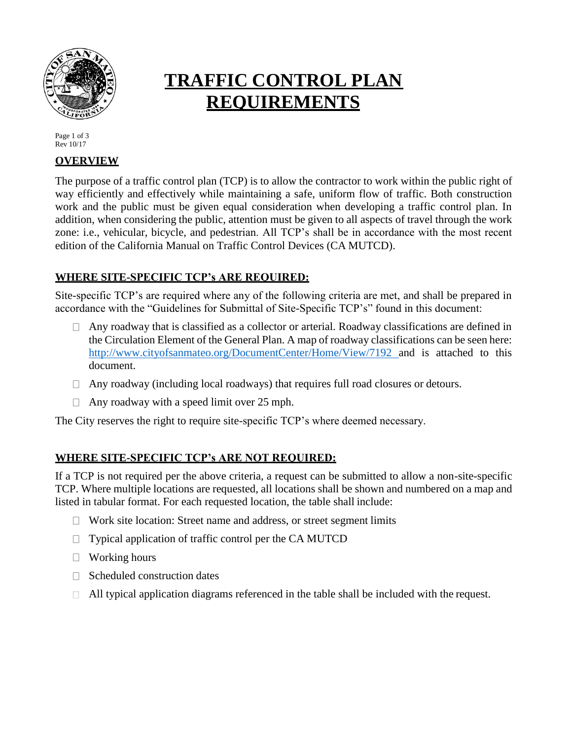

# **TRAFFIC CONTROL PLAN REQUIREMENTS**

Page 1 of 3 Rev 10/17

#### **OVERVIEW**

The purpose of a traffic control plan (TCP) is to allow the contractor to work within the public right of way efficiently and effectively while maintaining a safe, uniform flow of traffic. Both construction work and the public must be given equal consideration when developing a traffic control plan. In addition, when considering the public, attention must be given to all aspects of travel through the work zone: i.e., vehicular, bicycle, and pedestrian. All TCP's shall be in accordance with the most recent edition of the California Manual on Traffic Control Devices (CA MUTCD).

## **WHERE SITE-SPECIFIC TCP's ARE REQUIRED:**

Site-specific TCP's are required where any of the following criteria are met, and shall be prepared in accordance with the "Guidelines for Submittal of Site-Specific TCP's" found in this document:

- $\Box$  Any roadway that is classified as a collector or arterial. Roadway classifications are defined in the Circulation Element of the General Plan. A map of roadway classifications can be seen here: [http://www.cityofsanmateo.org/DocumentCenter/Home/View/7192 a](http://www.cityofsanmateo.org/DocumentCenter/Home/View/7192)nd is attached to this document.
- $\Box$  Any roadway (including local roadways) that requires full road closures or detours.
- $\Box$  Any roadway with a speed limit over 25 mph.

The City reserves the right to require site-specific TCP's where deemed necessary.

## **WHERE SITE-SPECIFIC TCP's ARE NOT REQUIRED:**

If a TCP is not required per the above criteria, a request can be submitted to allow a non-site-specific TCP. Where multiple locations are requested, all locations shall be shown and numbered on a map and listed in tabular format. For each requested location, the table shall include:

- $\Box$  Work site location: Street name and address, or street segment limits
- $\Box$  Typical application of traffic control per the CA MUTCD
- $\Box$  Working hours
- $\Box$  Scheduled construction dates
- $\Box$  All typical application diagrams referenced in the table shall be included with the request.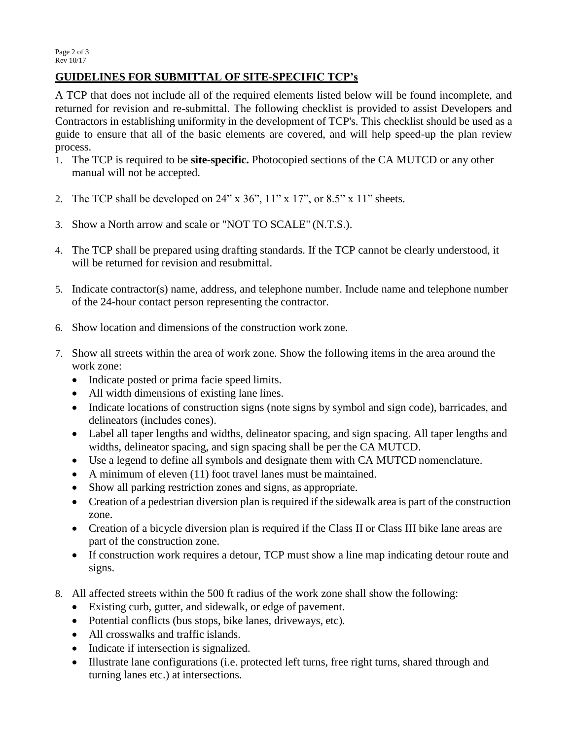## **GUIDELINES FOR SUBMITTAL OF SITE-SPECIFIC TCP's**

A TCP that does not include all of the required elements listed below will be found incomplete, and returned for revision and re-submittal. The following checklist is provided to assist Developers and Contractors in establishing uniformity in the development of TCP's. This checklist should be used as a guide to ensure that all of the basic elements are covered, and will help speed-up the plan review process.

- 1. The TCP is required to be **site-specific.** Photocopied sections of the CA MUTCD or any other manual will not be accepted.
- 2. The TCP shall be developed on 24" x 36", 11" x 17", or 8.5" x 11" sheets.
- 3. Show a North arrow and scale or "NOT TO SCALE" (N.T.S.).
- 4. The TCP shall be prepared using drafting standards. If the TCP cannot be clearly understood, it will be returned for revision and resubmittal.
- 5. Indicate contractor(s) name, address, and telephone number. Include name and telephone number of the 24-hour contact person representing the contractor.
- 6. Show location and dimensions of the construction work zone.
- 7. Show all streets within the area of work zone. Show the following items in the area around the work zone:
	- Indicate posted or prima facie speed limits.
	- All width dimensions of existing lane lines.
	- Indicate locations of construction signs (note signs by symbol and sign code), barricades, and delineators (includes cones).
	- Label all taper lengths and widths, delineator spacing, and sign spacing. All taper lengths and widths, delineator spacing, and sign spacing shall be per the CA MUTCD.
	- Use a legend to define all symbols and designate them with CA MUTCD nomenclature.
	- A minimum of eleven (11) foot travel lanes must be maintained.
	- Show all parking restriction zones and signs, as appropriate.
	- Creation of a pedestrian diversion plan is required if the sidewalk area is part of the construction zone.
	- Creation of a bicycle diversion plan is required if the Class II or Class III bike lane areas are part of the construction zone.
	- If construction work requires a detour, TCP must show a line map indicating detour route and signs.
- 8. All affected streets within the 500 ft radius of the work zone shall show the following:
	- Existing curb, gutter, and sidewalk, or edge of pavement.
	- Potential conflicts (bus stops, bike lanes, driveways, etc).
	- All crosswalks and traffic islands.
	- Indicate if intersection is signalized.
	- Illustrate lane configurations (i.e. protected left turns, free right turns, shared through and turning lanes etc.) at intersections.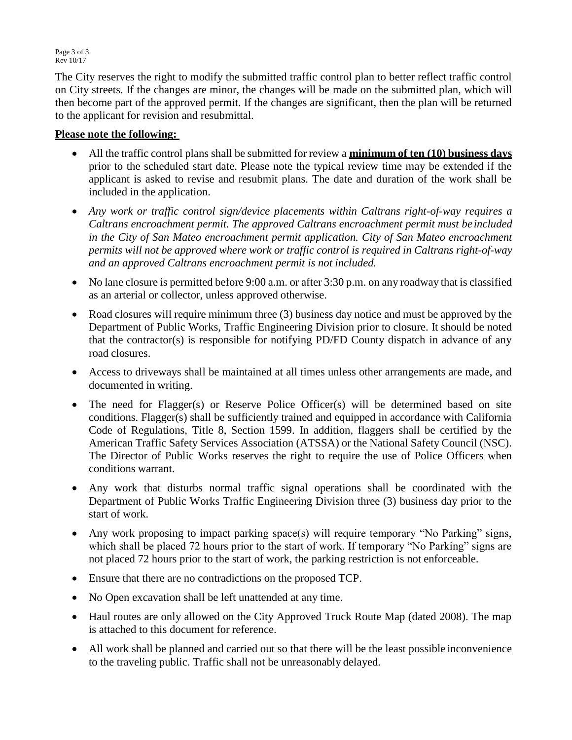Page 3 of 3 Rev 10/17

The City reserves the right to modify the submitted traffic control plan to better reflect traffic control on City streets. If the changes are minor, the changes will be made on the submitted plan, which will then become part of the approved permit. If the changes are significant, then the plan will be returned to the applicant for revision and resubmittal.

#### **Please note the following:**

- All the traffic control plans shall be submitted for review a **minimum of ten (10) business days**  prior to the scheduled start date. Please note the typical review time may be extended if the applicant is asked to revise and resubmit plans. The date and duration of the work shall be included in the application.
- *Any work or traffic control sign/device placements within Caltrans right-of-way requires a Caltrans encroachment permit. The approved Caltrans encroachment permit must be included in the City of San Mateo encroachment permit application. City of San Mateo encroachment permits will not be approved where work or traffic control is required in Caltrans right-of-way and an approved Caltrans encroachment permit is not included.*
- No lane closure is permitted before 9:00 a.m. or after 3:30 p.m. on any roadway that is classified as an arterial or collector, unless approved otherwise.
- Road closures will require minimum three (3) business day notice and must be approved by the Department of Public Works, Traffic Engineering Division prior to closure. It should be noted that the contractor(s) is responsible for notifying PD/FD County dispatch in advance of any road closures.
- Access to driveways shall be maintained at all times unless other arrangements are made, and documented in writing.
- The need for Flagger(s) or Reserve Police Officer(s) will be determined based on site conditions. Flagger(s) shall be sufficiently trained and equipped in accordance with California Code of Regulations, Title 8, Section 1599. In addition, flaggers shall be certified by the American Traffic Safety Services Association (ATSSA) or the National Safety Council (NSC). The Director of Public Works reserves the right to require the use of Police Officers when conditions warrant.
- Any work that disturbs normal traffic signal operations shall be coordinated with the Department of Public Works Traffic Engineering Division three (3) business day prior to the start of work.
- Any work proposing to impact parking space(s) will require temporary "No Parking" signs, which shall be placed 72 hours prior to the start of work. If temporary "No Parking" signs are not placed 72 hours prior to the start of work, the parking restriction is not enforceable.
- Ensure that there are no contradictions on the proposed TCP.
- No Open excavation shall be left unattended at any time.
- Haul routes are only allowed on the City Approved Truck Route Map (dated 2008). The map is attached to this document for reference.
- All work shall be planned and carried out so that there will be the least possible inconvenience to the traveling public. Traffic shall not be unreasonably delayed.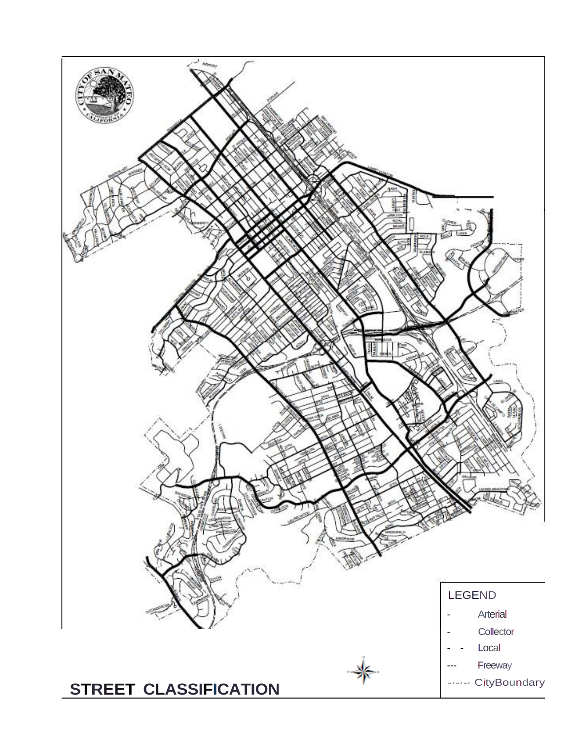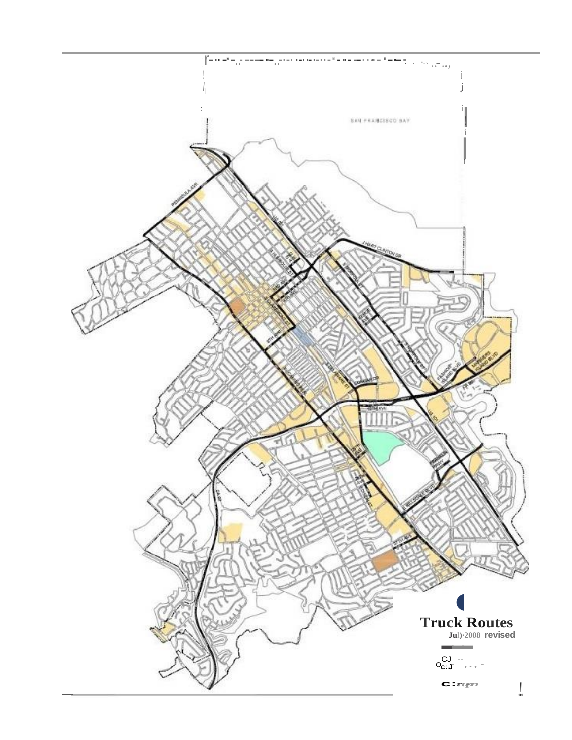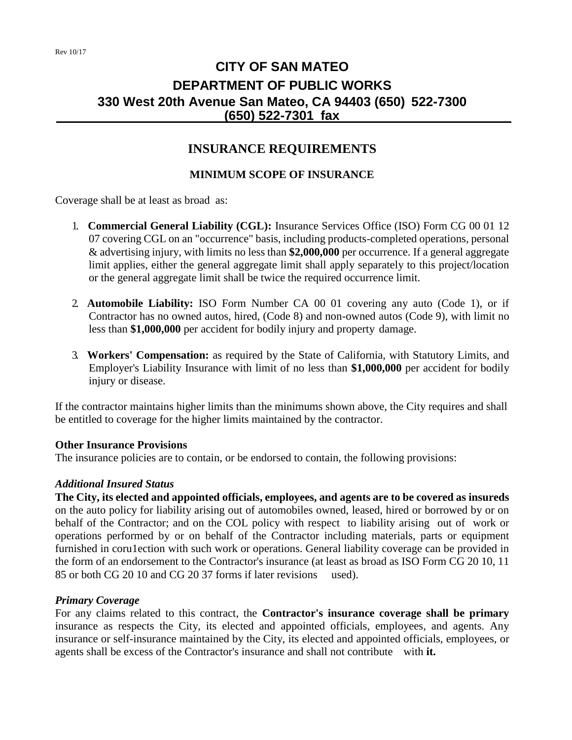## **CITY OF SAN MATEO DEPARTMENT OF PUBLIC WORKS 330 West 20th Avenue San Mateo, CA 94403 (650) 522-7300 (650) 522-7301 fax**

## **INSURANCE REQUIREMENTS**

#### **MINIMUM SCOPE OF INSURANCE**

Coverage shall be at least as broad as:

- 1. **Commercial General Liability (CGL):** Insurance Services Office (ISO) Form CG 00 01 12 07 covering CGL on an "occurrence" basis, including products-completed operations, personal & advertising injury, with limits no less than **\$2,000,000** per occurrence. If a general aggregate limit applies, either the general aggregate limit shall apply separately to this project/location or the general aggregate limit shall be twice the required occurrence limit.
- 2. **Automobile Liability:** ISO Form Number CA 00 01 covering any auto (Code 1), or if Contractor has no owned autos, hired, (Code 8) and non-owned autos (Code 9), with limit no less than **\$1,000,000** per accident for bodily injury and property damage.
- 3. **Workers' Compensation:** as required by the State of California, with Statutory Limits, and Employer's Liability Insurance with limit of no less than **\$1,000,000** per accident for bodily injury or disease.

If the contractor maintains higher limits than the minimums shown above, the City requires and shall be entitled to coverage for the higher limits maintained by the contractor.

#### **Other Insurance Provisions**

The insurance policies are to contain, or be endorsed to contain, the following provisions:

#### *Additional Insured Status*

**The City, its elected and appointed officials, employees, and agents are to be covered as insureds**  on the auto policy for liability arising out of automobiles owned, leased, hired or borrowed by or on behalf of the Contractor; and on the COL policy with respect to liability arising out of work or operations performed by or on behalf of the Contractor including materials, parts or equipment furnished in coru1ection with such work or operations. General liability coverage can be provided in the form of an endorsement to the Contractor's insurance (at least as broad as ISO Form CG 20 10, 11 85 or both CG 20 10 and CG 20 37 forms if later revisions used).

#### *Primary Coverage*

For any claims related to this contract, the **Contractor's insurance coverage shall be primary**  insurance as respects the City, its elected and appointed officials, employees, and agents. Any insurance or self-insurance maintained by the City, its elected and appointed officials, employees, or agents shall be excess of the Contractor's insurance and shall not contribute with **it.**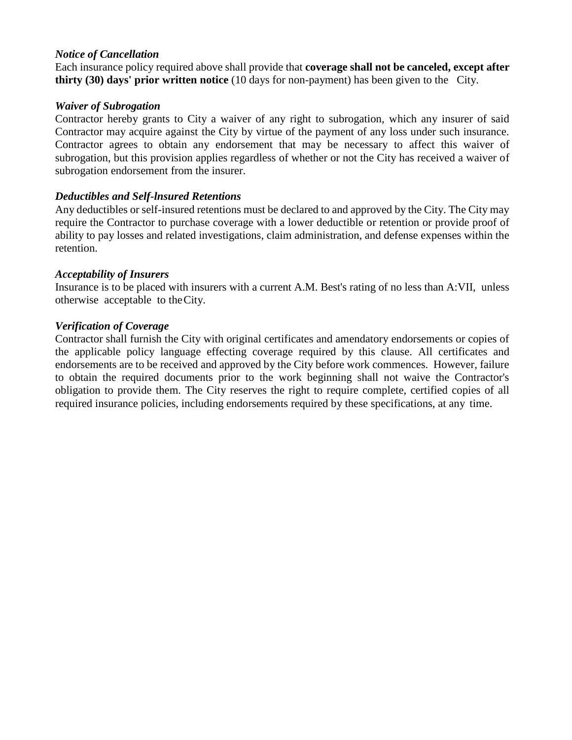#### *Notice of Cancellation*

Each insurance policy required above shall provide that **coverage shall not be canceled, except after thirty (30) days' prior written notice** (10 days for non-payment) has been given to the City.

#### *Waiver of Subrogation*

Contractor hereby grants to City a waiver of any right to subrogation, which any insurer of said Contractor may acquire against the City by virtue of the payment of any loss under such insurance. Contractor agrees to obtain any endorsement that may be necessary to affect this waiver of subrogation, but this provision applies regardless of whether or not the City has received a waiver of subrogation endorsement from the insurer.

#### *Deductibles and Self-lnsured Retentions*

Any deductibles or self-insured retentions must be declared to and approved by the City. The City may require the Contractor to purchase coverage with a lower deductible or retention or provide proof of ability to pay losses and related investigations, claim administration, and defense expenses within the retention.

#### *Acceptability of Insurers*

Insurance is to be placed with insurers with a current A.M. Best's rating of no less than A:VII, unless otherwise acceptable to theCity.

#### *Verification of Coverage*

Contractor shall furnish the City with original certificates and amendatory endorsements or copies of the applicable policy language effecting coverage required by this clause. All certificates and endorsements are to be received and approved by the City before work commences. However, failure to obtain the required documents prior to the work beginning shall not waive the Contractor's obligation to provide them. The City reserves the right to require complete, certified copies of all required insurance policies, including endorsements required by these specifications, at any time.